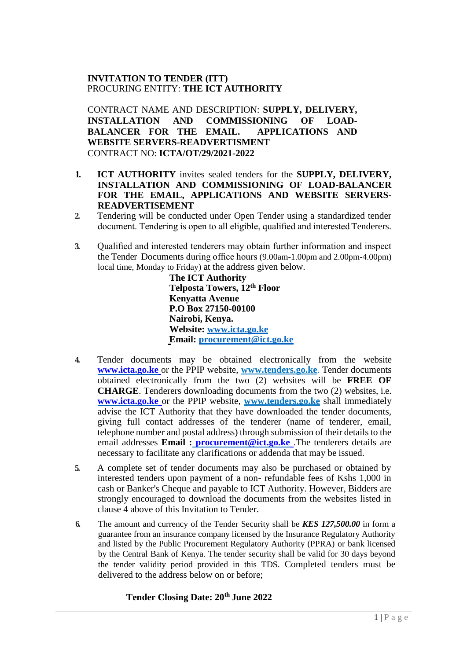## **INVITATION TO TENDER (ITT)** PROCURING ENTITY: **THE ICT AUTHORITY**

CONTRACT NAME AND DESCRIPTION: **SUPPLY, DELIVERY, INSTALLATION AND COMMISSIONING OF LOAD-BALANCER FOR THE EMAIL. APPLICATIONS AND WEBSITE SERVERS-READVERTISMENT** CONTRACT NO: **ICTA/OT/29/2021-2022**

- **1. ICT AUTHORITY** invites sealed tenders for the **SUPPLY, DELIVERY, INSTALLATION AND COMMISSIONING OF LOAD-BALANCER FOR THE EMAIL, APPLICATIONS AND WEBSITE SERVERS-READVERTISEMENT**
- **2.** Tendering will be conducted under Open Tender using a standardized tender document. Tendering is open to all eligible, qualified and interested Tenderers.
- **3.** Qualified and interested tenderers may obtain further information and inspect the Tender Documents during office hours (9.00am-1.00pm and 2.00pm-4.00pm) local time, Monday to Friday) at the address given below.

**The ICT Authority Telposta Towers, 12th Floor Kenyatta Avenue P.O Box 27150-00100 Nairobi, Kenya. Website: www.icta.go.ke Email: procurement@ict.go.ke**

- **4.** Tender documents may be obtained electronically from the website **www.icta.go.ke** or the PPIP website, **[www.tenders.go.ke](http://www.tenders.go.ke/)**. Tender documents obtained electronically from the two (2) websites will be **FREE OF CHARGE**. Tenderers downloading documents from the two (2) websites, i.e. **www.icta.go.ke** or the PPIP website, **[www.tenders.go.ke](http://www.tenders.go.ke/)** shall immediately advise the ICT Authority that they have downloaded the tender documents, giving full contact addresses of the tenderer (name of tenderer, email, telephone number and postal address) through submission of their details to the email addresses **Email : [procurement@ict.go.ke](mailto:%20procurement@ict.go.ke)** .The tenderers details are necessary to facilitate any clarifications or addenda that may be issued.
- **5.** A complete set of tender documents may also be purchased or obtained by interested tenders upon payment of a non- refundable fees of Kshs 1,000 in cash or Banker's Cheque and payable to ICT Authority. However, Bidders are strongly encouraged to download the documents from the websites listed in clause 4 above of this Invitation to Tender.
- **6.** The amount and currency of the Tender Security shall be *KES 127,500.00* in form a guarantee from an insurance company licensed by the Insurance Regulatory Authority and listed by the Public Procurement Regulatory Authority (PPRA) or bank licensed by the Central Bank of Kenya. The tender security shall be valid for 30 days beyond the tender validity period provided in this TDS. Completed tenders must be delivered to the address below on or before;

#### **Tender Closing Date: 20th June 2022**